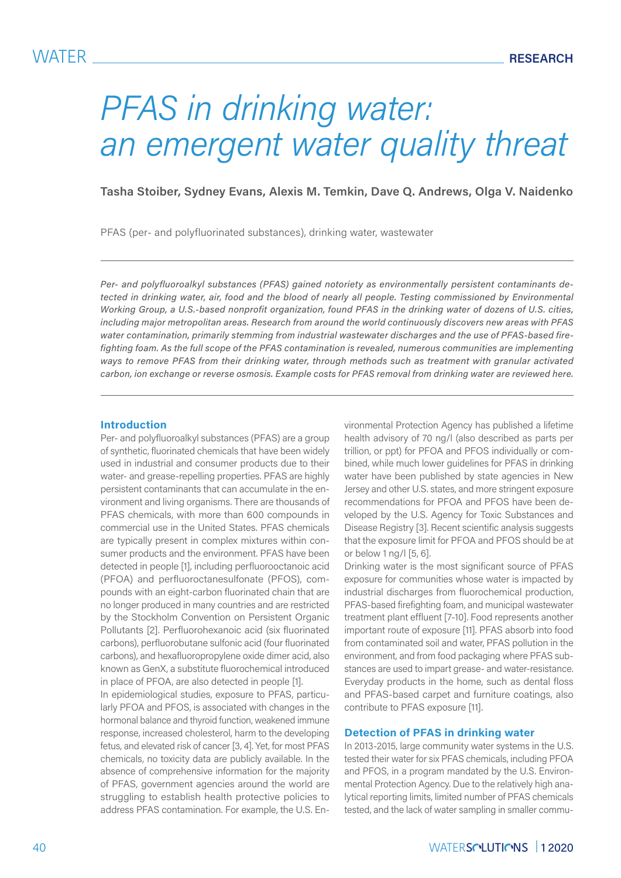# *PFAS in drinking water: an emergent water quality threat*

**Tasha Stoiber, Sydney Evans, Alexis M. Temkin, Dave Q. Andrews, Olga V. Naidenko**

PFAS (per- and polyfluorinated substances), drinking water, wastewater

*Per- and polyfluoroalkyl substances (PFAS) gained notoriety as environmentally persistent contaminants detected in drinking water, air, food and the blood of nearly all people. Testing commissioned by Environmental Working Group, a U.S.-based nonprofit organization, found PFAS in the drinking water of dozens of U.S. cities, including major metropolitan areas. Research from around the world continuously discovers new areas with PFAS water contamination, primarily stemming from industrial wastewater discharges and the use of PFAS-based firefighting foam. As the full scope of the PFAS contamination is revealed, numerous communities are implementing ways to remove PFAS from their drinking water, through methods such as treatment with granular activated carbon, ion exchange or reverse osmosis. Example costs for PFAS removal from drinking water are reviewed here.*

#### **Introduction**

Per- and polyfluoroalkyl substances (PFAS) are a group of synthetic, fluorinated chemicals that have been widely used in industrial and consumer products due to their water- and grease-repelling properties. PFAS are highly persistent contaminants that can accumulate in the environment and living organisms. There are thousands of PFAS chemicals, with more than 600 compounds in commercial use in the United States. PFAS chemicals are typically present in complex mixtures within consumer products and the environment. PFAS have been detected in people [1], including perfluorooctanoic acid (PFOA) and perfluoroctanesulfonate (PFOS), compounds with an eight-carbon fluorinated chain that are no longer produced in many countries and are restricted by the Stockholm Convention on Persistent Organic Pollutants [2]. Perfluorohexanoic acid (six fluorinated carbons), perfluorobutane sulfonic acid (four fluorinated carbons), and hexafluoropropylene oxide dimer acid, also known as GenX, a substitute fluorochemical introduced in place of PFOA, are also detected in people [1].

In epidemiological studies, exposure to PFAS, particularly PFOA and PFOS, is associated with changes in the hormonal balance and thyroid function, weakened immune response, increased cholesterol, harm to the developing fetus, and elevated risk of cancer [3, 4]. Yet, for most PFAS chemicals, no toxicity data are publicly available. In the absence of comprehensive information for the majority of PFAS, government agencies around the world are struggling to establish health protective policies to address PFAS contamination. For example, the U.S. Environmental Protection Agency has published a lifetime health advisory of 70 ng/l (also described as parts per trillion, or ppt) for PFOA and PFOS individually or combined, while much lower guidelines for PFAS in drinking water have been published by state agencies in New Jersey and other U.S. states, and more stringent exposure recommendations for PFOA and PFOS have been developed by the U.S. Agency for Toxic Substances and Disease Registry [3]. Recent scientific analysis suggests that the exposure limit for PFOA and PFOS should be at or below 1 ng/l [5, 6].

Drinking water is the most significant source of PFAS exposure for communities whose water is impacted by industrial discharges from fluorochemical production, PFAS-based firefighting foam, and municipal wastewater treatment plant effluent [7-10]. Food represents another important route of exposure [11]. PFAS absorb into food from contaminated soil and water, PFAS pollution in the environment, and from food packaging where PFAS substances are used to impart grease- and water-resistance. Everyday products in the home, such as dental floss and PFAS-based carpet and furniture coatings, also contribute to PFAS exposure [11].

#### **Detection of PFAS in drinking water**

In 2013-2015, large community water systems in the U.S. tested their water for six PFAS chemicals, including PFOA and PFOS, in a program mandated by the U.S. Environmental Protection Agency. Due to the relatively high analytical reporting limits, limited number of PFAS chemicals tested, and the lack of water sampling in smaller commu-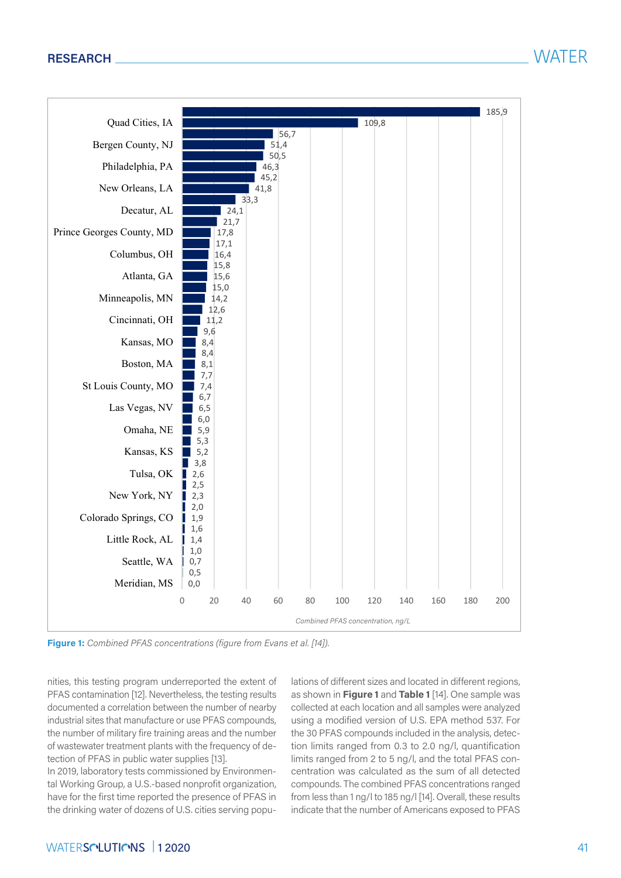

**Figure 1:** *Combined PFAS concentrations (figure from Evans et al. [14]).*

nities, this testing program underreported the extent of PFAS contamination [12]. Nevertheless, the testing results documented a correlation between the number of nearby industrial sites that manufacture or use PFAS compounds, the number of military fire training areas and the number of wastewater treatment plants with the frequency of detection of PFAS in public water supplies [13].

In 2019, laboratory tests commissioned by Environmental Working Group, a U.S.-based nonprofit organization, have for the first time reported the presence of PFAS in the drinking water of dozens of U.S. cities serving populations of different sizes and located in different regions, as shown in **Figure 1** and **Table 1** [14]. One sample was collected at each location and all samples were analyzed using a modified version of U.S. EPA method 537. For the 30 PFAS compounds included in the analysis, detection limits ranged from 0.3 to 2.0 ng/l, quantification limits ranged from 2 to 5 ng/l, and the total PFAS concentration was calculated as the sum of all detected compounds. The combined PFAS concentrations ranged from less than 1 ng/l to 185 ng/l [14]. Overall, these results indicate that the number of Americans exposed to PFAS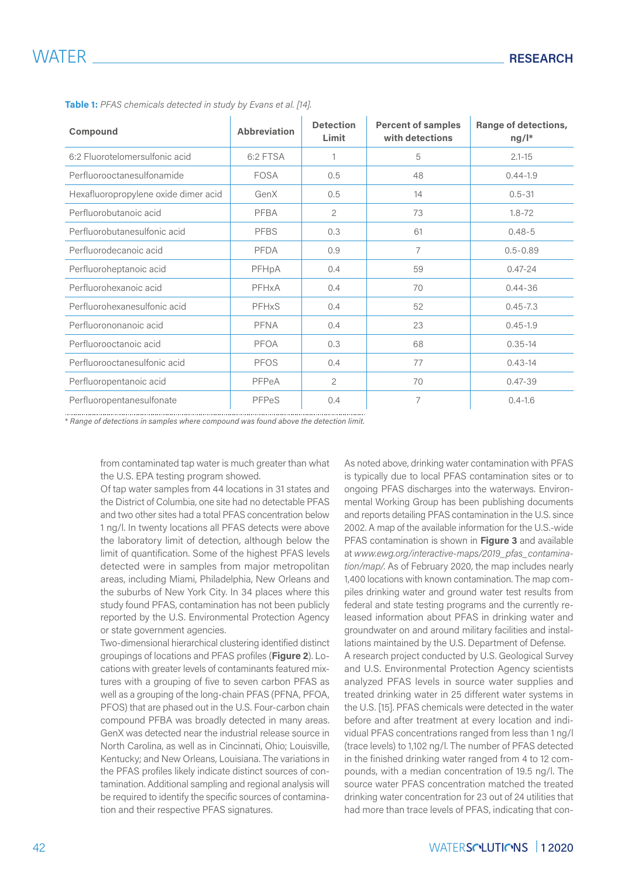| Compound                             | <b>Abbreviation</b> | <b>Detection</b><br>Limit | <b>Percent of samples</b><br>with detections | Range of detections,<br>$ng/l^*$ |
|--------------------------------------|---------------------|---------------------------|----------------------------------------------|----------------------------------|
| 6:2 Fluorotelomersulfonic acid       | 6:2 FTSA            | $\mathbf 1$               | 5                                            | $2.1 - 15$                       |
| Perfluorooctanesulfonamide           | FOSA                | 0.5                       | 48                                           | $0.44 - 1.9$                     |
| Hexafluoropropylene oxide dimer acid | GenX                | 0.5                       | 14                                           | $0.5 - 31$                       |
| Perfluorobutanoic acid               | PFBA                | $\overline{2}$            | 73                                           | $1.8 - 72$                       |
| Perfluorobutanesulfonic acid         | <b>PFBS</b>         | 0.3                       | 61                                           | $0.48 - 5$                       |
| Perfluorodecanoic acid               | <b>PFDA</b>         | 0.9                       | 7                                            | $0.5 - 0.89$                     |
| Perfluoroheptanoic acid              | PFHpA               | 0.4                       | 59                                           | $0.47 - 24$                      |
| Perfluorohexanoic acid               | PFHxA               | 0.4                       | 70                                           | $0.44 - 36$                      |
| Perfluorohexanesulfonic acid         | PFHxS               | 0.4                       | 52                                           | $0.45 - 7.3$                     |
| Perfluorononanoic acid               | <b>PFNA</b>         | 0.4                       | 23                                           | $0.45 - 1.9$                     |
| Perfluorooctanoic acid               | <b>PFOA</b>         | 0.3                       | 68                                           | $0.35 - 14$                      |
| Perfluorooctanesulfonic acid         | <b>PFOS</b>         | 0.4                       | 77                                           | $0.43 - 14$                      |
| Perfluoropentanoic acid              | PFPeA               | $\overline{2}$            | 70                                           | $0.47 - 39$                      |
| Perfluoropentanesulfonate            | PFPeS               | 0.4                       | 7                                            | $0.4 - 1.6$                      |

**Table 1:** *PFAS chemicals detected in study by Evans et al. [14].*

\* *Range of detections in samples where compound was found above the detection limit.*

from contaminated tap water is much greater than what the U.S. EPA testing program showed.

Of tap water samples from 44 locations in 31 states and the District of Columbia, one site had no detectable PFAS and two other sites had a total PFAS concentration below 1 ng/l. In twenty locations all PFAS detects were above the laboratory limit of detection, although below the limit of quantification. Some of the highest PFAS levels detected were in samples from major metropolitan areas, including Miami, Philadelphia, New Orleans and the suburbs of New York City. In 34 places where this study found PFAS, contamination has not been publicly reported by the U.S. Environmental Protection Agency or state government agencies.

Two-dimensional hierarchical clustering identified distinct groupings of locations and PFAS profiles (**Figure 2**). Locations with greater levels of contaminants featured mixtures with a grouping of five to seven carbon PFAS as well as a grouping of the long-chain PFAS (PFNA, PFOA, PFOS) that are phased out in the U.S. Four-carbon chain compound PFBA was broadly detected in many areas. GenX was detected near the industrial release source in North Carolina, as well as in Cincinnati, Ohio; Louisville, Kentucky; and New Orleans, Louisiana. The variations in the PFAS profiles likely indicate distinct sources of contamination. Additional sampling and regional analysis will be required to identify the specific sources of contamination and their respective PFAS signatures.

As noted above, drinking water contamination with PFAS is typically due to local PFAS contamination sites or to ongoing PFAS discharges into the waterways. Environmental Working Group has been publishing documents and reports detailing PFAS contamination in the U.S. since 2002. A map of the available information for the U.S.-wide PFAS contamination is shown in **Figure 3** and available at *www.ewg.org/interactive-maps/2019\_pfas\_contamination/map/*. As of February 2020, the map includes nearly 1,400 locations with known contamination. The map compiles drinking water and ground water test results from federal and state testing programs and the currently released information about PFAS in drinking water and groundwater on and around military facilities and installations maintained by the U.S. Department of Defense.

A research project conducted by U.S. Geological Survey and U.S. Environmental Protection Agency scientists analyzed PFAS levels in source water supplies and treated drinking water in 25 different water systems in the U.S. [15]. PFAS chemicals were detected in the water before and after treatment at every location and individual PFAS concentrations ranged from less than 1 ng/l (trace levels) to 1,102 ng/l. The number of PFAS detected in the finished drinking water ranged from 4 to 12 compounds, with a median concentration of 19.5 ng/l. The source water PFAS concentration matched the treated drinking water concentration for 23 out of 24 utilities that had more than trace levels of PFAS, indicating that con-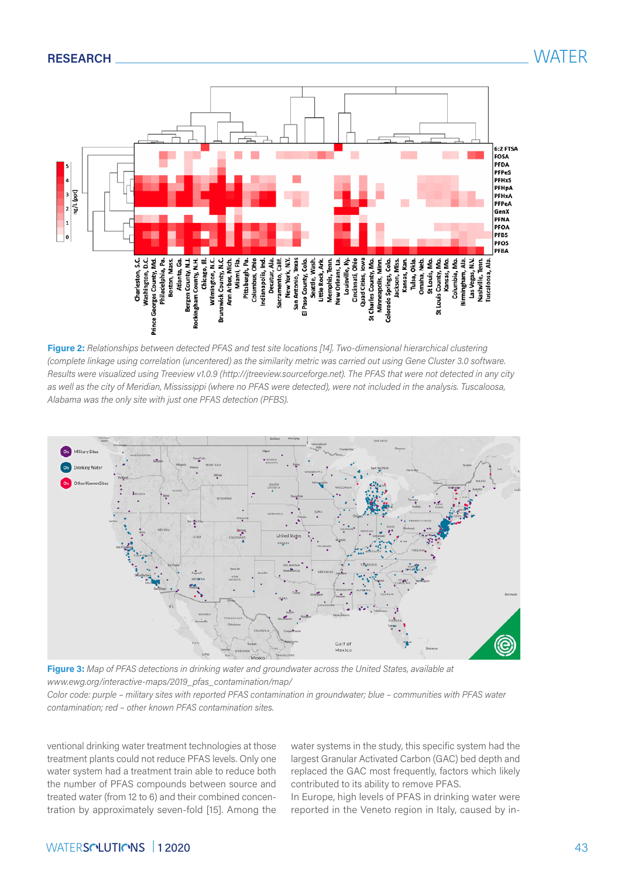

**Figure 2:** *Relationships between detected PFAS and test site locations [14]. Two-dimensional hierarchical clustering (complete linkage using correlation (uncentered) as the similarity metric was carried out using Gene Cluster 3.0 software. Results were visualized using Treeview v1.0.9 (http://jtreeview.sourceforge.net). The PFAS that were not detected in any city as well as the city of Meridian, Mississippi (where no PFAS were detected), were not included in the analysis. Tuscaloosa, Alabama was the only site with just one PFAS detection (PFBS).*



**Figure 3:** *Map of PFAS detections in drinking water and groundwater across the United States, available at www.ewg.org/interactive-maps/2019\_pfas\_contamination/map/*

*Color code: purple – military sites with reported PFAS contamination in groundwater; blue – communities with PFAS water contamination; red – other known PFAS contamination sites.*

ventional drinking water treatment technologies at those treatment plants could not reduce PFAS levels. Only one water system had a treatment train able to reduce both the number of PFAS compounds between source and treated water (from 12 to 6) and their combined concentration by approximately seven-fold [15]. Among the

water systems in the study, this specific system had the largest Granular Activated Carbon (GAC) bed depth and replaced the GAC most frequently, factors which likely contributed to its ability to remove PFAS.

In Europe, high levels of PFAS in drinking water were reported in the Veneto region in Italy, caused by in-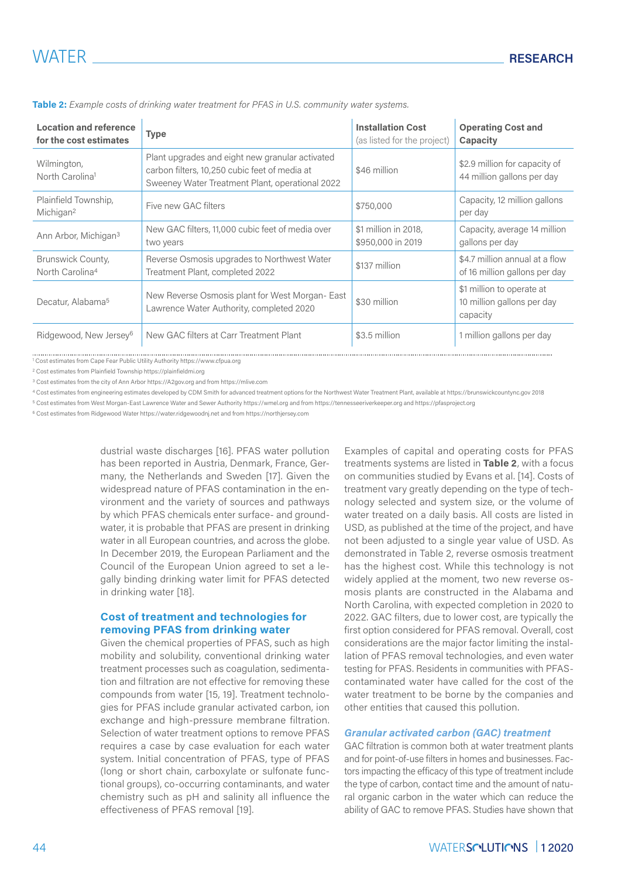| <b>Location and reference</b><br>for the cost estimates | <b>Type</b>                                                                                                                                         | <b>Installation Cost</b><br>(as listed for the project) | <b>Operating Cost and</b><br>Capacity                               |
|---------------------------------------------------------|-----------------------------------------------------------------------------------------------------------------------------------------------------|---------------------------------------------------------|---------------------------------------------------------------------|
| Wilmington,<br>North Carolina <sup>1</sup>              | Plant upgrades and eight new granular activated<br>carbon filters, 10,250 cubic feet of media at<br>Sweeney Water Treatment Plant, operational 2022 | \$46 million                                            | \$2.9 million for capacity of<br>44 million gallons per day         |
| Plainfield Township,<br>Michigan <sup>2</sup>           | Five new GAC filters                                                                                                                                | \$750,000                                               | Capacity, 12 million gallons<br>per day                             |
| Ann Arbor, Michigan <sup>3</sup>                        | New GAC filters, 11,000 cubic feet of media over<br>two years                                                                                       | \$1 million in 2018,<br>\$950,000 in 2019               | Capacity, average 14 million<br>gallons per day                     |
| Brunswick County,<br>North Carolina <sup>4</sup>        | Reverse Osmosis upgrades to Northwest Water<br>Treatment Plant, completed 2022                                                                      | \$137 million                                           | \$4.7 million annual at a flow<br>of 16 million gallons per day     |
| Decatur, Alabama <sup>5</sup>                           | New Reverse Osmosis plant for West Morgan-East<br>Lawrence Water Authority, completed 2020                                                          | \$30 million                                            | \$1 million to operate at<br>10 million gallons per day<br>capacity |
| Ridgewood, New Jersey <sup>6</sup>                      | New GAC filters at Carr Treatment Plant                                                                                                             | \$3.5 million                                           | 1 million gallons per day                                           |

**Table 2:** *Example costs of drinking water treatment for PFAS in U.S. community water systems.*

1 Cost estimates from Cape Fear Public Utility Authority <https://www.cfpua.org>

2 Cost estimates from Plainfield Township<https://plainfieldmi.org>

<sup>3</sup> Cost estimates from the city of Ann Arbor<https://A2gov.org> and from <https://mlive.com>

<sup>4</sup> Cost estimates from engineering estimates developed by CDM Smith for advanced treatment options for the Northwest Water Treatment Plant, available at <https://brunswickcountync.gov>2018

<sup>5</sup> Cost estimates from West Morgan-East Lawrence Water and Sewer Authority <https://wmel.org> and from<https://tennesseeriverkeeper.org>and<https://pfasproject.org>

<sup>6</sup> Cost estimates from Ridgewood Water<https://water.ridgewoodnj.net> and from<https://northjersey.com>

dustrial waste discharges [16]. PFAS water pollution has been reported in Austria, Denmark, France, Germany, the Netherlands and Sweden [17]. Given the widespread nature of PFAS contamination in the environment and the variety of sources and pathways by which PFAS chemicals enter surface- and groundwater, it is probable that PFAS are present in drinking water in all European countries, and across the globe. In December 2019, the European Parliament and the Council of the European Union agreed to set a legally binding drinking water limit for PFAS detected in drinking water [18].

### **Cost of treatment and technologies for removing PFAS from drinking water**

Given the chemical properties of PFAS, such as high mobility and solubility, conventional drinking water treatment processes such as coagulation, sedimentation and filtration are not effective for removing these compounds from water [15, 19]. Treatment technologies for PFAS include granular activated carbon, ion exchange and high-pressure membrane filtration. Selection of water treatment options to remove PFAS requires a case by case evaluation for each water system. Initial concentration of PFAS, type of PFAS (long or short chain, carboxylate or sulfonate functional groups), co-occurring contaminants, and water chemistry such as pH and salinity all influence the effectiveness of PFAS removal [19].

Examples of capital and operating costs for PFAS treatments systems are listed in **Table 2**, with a focus on communities studied by Evans et al. [14]. Costs of treatment vary greatly depending on the type of technology selected and system size, or the volume of water treated on a daily basis. All costs are listed in USD, as published at the time of the project, and have not been adjusted to a single year value of USD. As demonstrated in Table 2, reverse osmosis treatment has the highest cost. While this technology is not widely applied at the moment, two new reverse osmosis plants are constructed in the Alabama and North Carolina, with expected completion in 2020 to 2022. GAC filters, due to lower cost, are typically the first option considered for PFAS removal. Overall, cost considerations are the major factor limiting the installation of PFAS removal technologies, and even water testing for PFAS. Residents in communities with PFAScontaminated water have called for the cost of the water treatment to be borne by the companies and other entities that caused this pollution.

#### *Granular activated carbon (GAC) treatment*

GAC filtration is common both at water treatment plants and for point-of-use filters in homes and businesses. Factors impacting the efficacy of this type of treatment include the type of carbon, contact time and the amount of natural organic carbon in the water which can reduce the ability of GAC to remove PFAS. Studies have shown that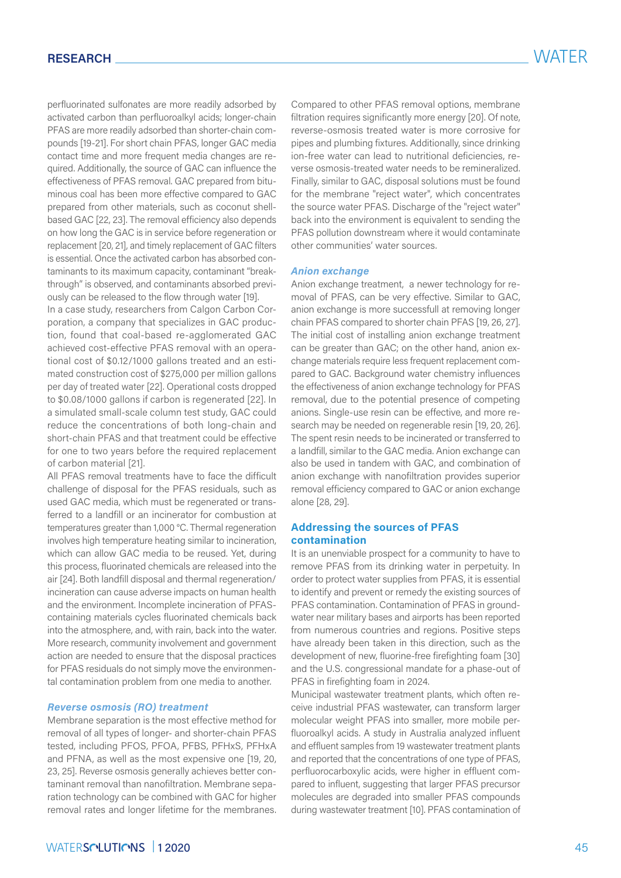perfluorinated sulfonates are more readily adsorbed by activated carbon than perfluoroalkyl acids; longer-chain PFAS are more readily adsorbed than shorter-chain compounds [19-21]. For short chain PFAS, longer GAC media contact time and more frequent media changes are required. Additionally, the source of GAC can influence the effectiveness of PFAS removal. GAC prepared from bituminous coal has been more effective compared to GAC prepared from other materials, such as coconut shellbased GAC [22, 23]. The removal efficiency also depends on how long the GAC is in service before regeneration or replacement [20, 21], and timely replacement of GAC filters is essential. Once the activated carbon has absorbed contaminants to its maximum capacity, contaminant "breakthrough" is observed, and contaminants absorbed previously can be released to the flow through water [19].

In a case study, researchers from Calgon Carbon Corporation, a company that specializes in GAC production, found that coal-based re-agglomerated GAC achieved cost-effective PFAS removal with an operational cost of \$0.12/1000 gallons treated and an estimated construction cost of \$275,000 per million gallons per day of treated water [22]. Operational costs dropped to \$0.08/1000 gallons if carbon is regenerated [22]. In a simulated small-scale column test study, GAC could reduce the concentrations of both long-chain and short-chain PFAS and that treatment could be effective for one to two years before the required replacement of carbon material [21].

All PFAS removal treatments have to face the difficult challenge of disposal for the PFAS residuals, such as used GAC media, which must be regenerated or transferred to a landfill or an incinerator for combustion at temperatures greater than 1,000 °C. Thermal regeneration involves high temperature heating similar to incineration, which can allow GAC media to be reused. Yet, during this process, fluorinated chemicals are released into the air [24]. Both landfill disposal and thermal regeneration/ incineration can cause adverse impacts on human health and the environment. Incomplete incineration of PFAScontaining materials cycles fluorinated chemicals back into the atmosphere, and, with rain, back into the water. More research, community involvement and government action are needed to ensure that the disposal practices for PFAS residuals do not simply move the environmental contamination problem from one media to another.

#### *Reverse osmosis (RO) treatment*

Membrane separation is the most effective method for removal of all types of longer- and shorter-chain PFAS tested, including PFOS, PFOA, PFBS, PFHxS, PFHxA and PFNA, as well as the most expensive one [19, 20, 23, 25]. Reverse osmosis generally achieves better contaminant removal than nanofiltration. Membrane separation technology can be combined with GAC for higher removal rates and longer lifetime for the membranes.

Compared to other PFAS removal options, membrane filtration requires significantly more energy [20]. Of note, reverse-osmosis treated water is more corrosive for pipes and plumbing fixtures. Additionally, since drinking ion-free water can lead to nutritional deficiencies, reverse osmosis-treated water needs to be remineralized. Finally, similar to GAC, disposal solutions must be found for the membrane "reject water", which concentrates the source water PFAS. Discharge of the "reject water" back into the environment is equivalent to sending the PFAS pollution downstream where it would contaminate other communities' water sources.

#### *Anion exchange*

Anion exchange treatment, a newer technology for removal of PFAS, can be very effective. Similar to GAC, anion exchange is more successfull at removing longer chain PFAS compared to shorter chain PFAS [19, 26, 27]. The initial cost of installing anion exchange treatment can be greater than GAC; on the other hand, anion exchange materials require less frequent replacement compared to GAC. Background water chemistry influences the effectiveness of anion exchange technology for PFAS removal, due to the potential presence of competing anions. Single-use resin can be effective, and more research may be needed on regenerable resin [19, 20, 26]. The spent resin needs to be incinerated or transferred to a landfill, similar to the GAC media. Anion exchange can also be used in tandem with GAC, and combination of anion exchange with nanofiltration provides superior removal efficiency compared to GAC or anion exchange alone [28, 29].

### **Addressing the sources of PFAS contamination**

It is an unenviable prospect for a community to have to remove PFAS from its drinking water in perpetuity. In order to protect water supplies from PFAS, it is essential to identify and prevent or remedy the existing sources of PFAS contamination. Contamination of PFAS in groundwater near military bases and airports has been reported from numerous countries and regions. Positive steps have already been taken in this direction, such as the development of new, fluorine-free firefighting foam [30] and the U.S. congressional mandate for a phase-out of PFAS in firefighting foam in 2024.

Municipal wastewater treatment plants, which often receive industrial PFAS wastewater, can transform larger molecular weight PFAS into smaller, more mobile perfluoroalkyl acids. A study in Australia analyzed influent and effluent samples from 19 wastewater treatment plants and reported that the concentrations of one type of PFAS, perfluorocarboxylic acids, were higher in effluent compared to influent, suggesting that larger PFAS precursor molecules are degraded into smaller PFAS compounds during wastewater treatment [10]. PFAS contamination of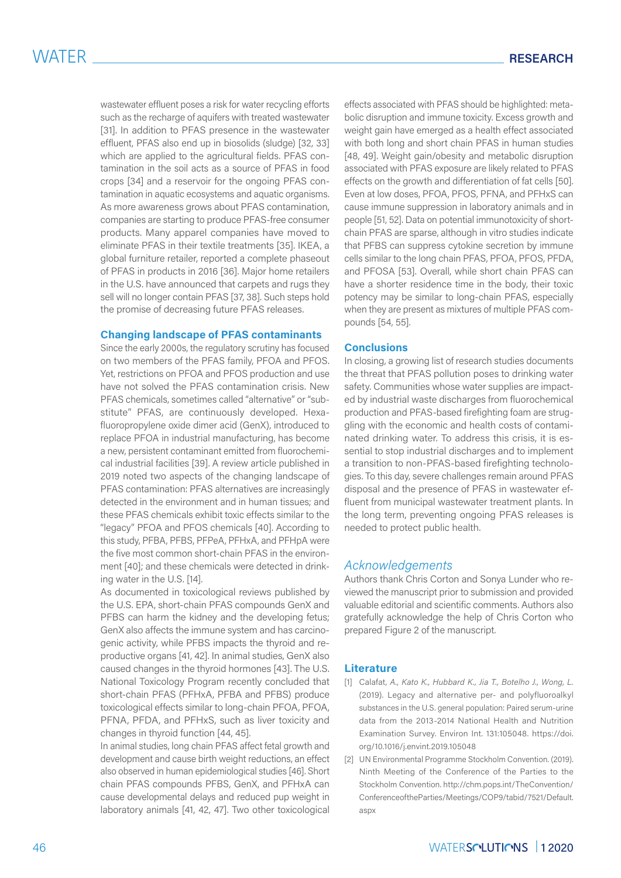wastewater effluent poses a risk for water recycling efforts such as the recharge of aquifers with treated wastewater [31]. In addition to PFAS presence in the wastewater effluent, PFAS also end up in biosolids (sludge) [32, 33] which are applied to the agricultural fields. PFAS contamination in the soil acts as a source of PFAS in food crops [34] and a reservoir for the ongoing PFAS contamination in aquatic ecosystems and aquatic organisms. As more awareness grows about PFAS contamination, companies are starting to produce PFAS-free consumer products. Many apparel companies have moved to eliminate PFAS in their textile treatments [35]. IKEA, a global furniture retailer, reported a complete phaseout of PFAS in products in 2016 [36]. Major home retailers in the U.S. have announced that carpets and rugs they sell will no longer contain PFAS [37, 38]. Such steps hold the promise of decreasing future PFAS releases.

#### **Changing landscape of PFAS contaminants**

Since the early 2000s, the regulatory scrutiny has focused on two members of the PFAS family, PFOA and PFOS. Yet, restrictions on PFOA and PFOS production and use have not solved the PFAS contamination crisis. New PFAS chemicals, sometimes called "alternative" or "substitute" PFAS, are continuously developed. Hexafluoropropylene oxide dimer acid (GenX), introduced to replace PFOA in industrial manufacturing, has become a new, persistent contaminant emitted from fluorochemical industrial facilities [39]. A review article published in 2019 noted two aspects of the changing landscape of PFAS contamination: PFAS alternatives are increasingly detected in the environment and in human tissues; and these PFAS chemicals exhibit toxic effects similar to the "legacy" PFOA and PFOS chemicals [40]. According to this study, PFBA, PFBS, PFPeA, PFHxA, and PFHpA were the five most common short-chain PFAS in the environment [40]; and these chemicals were detected in drinking water in the U.S. [14].

As documented in toxicological reviews published by the U.S. EPA, short-chain PFAS compounds GenX and PFBS can harm the kidney and the developing fetus; GenX also affects the immune system and has carcinogenic activity, while PFBS impacts the thyroid and reproductive organs [41, 42]. In animal studies, GenX also caused changes in the thyroid hormones [43]. The U.S. National Toxicology Program recently concluded that short-chain PFAS (PFHxA, PFBA and PFBS) produce toxicological effects similar to long-chain PFOA, PFOA, PFNA, PFDA, and PFHxS, such as liver toxicity and changes in thyroid function [44, 45].

In animal studies, long chain PFAS affect fetal growth and development and cause birth weight reductions, an effect also observed in human epidemiological studies [46]. Short chain PFAS compounds PFBS, GenX, and PFHxA can cause developmental delays and reduced pup weight in laboratory animals [41, 42, 47]. Two other toxicological

effects associated with PFAS should be highlighted: metabolic disruption and immune toxicity. Excess growth and weight gain have emerged as a health effect associated with both long and short chain PFAS in human studies [48, 49]. Weight gain/obesity and metabolic disruption associated with PFAS exposure are likely related to PFAS effects on the growth and differentiation of fat cells [50]. Even at low doses, PFOA, PFOS, PFNA, and PFHxS can cause immune suppression in laboratory animals and in people [51, 52]. Data on potential immunotoxicity of shortchain PFAS are sparse, although in vitro studies indicate that PFBS can suppress cytokine secretion by immune cells similar to the long chain PFAS, PFOA, PFOS, PFDA, and PFOSA [53]. Overall, while short chain PFAS can have a shorter residence time in the body, their toxic potency may be similar to long-chain PFAS, especially when they are present as mixtures of multiple PFAS compounds [54, 55].

#### **Conclusions**

In closing, a growing list of research studies documents the threat that PFAS pollution poses to drinking water safety. Communities whose water supplies are impacted by industrial waste discharges from fluorochemical production and PFAS-based firefighting foam are struggling with the economic and health costs of contaminated drinking water. To address this crisis, it is essential to stop industrial discharges and to implement a transition to non-PFAS-based firefighting technologies. To this day, severe challenges remain around PFAS disposal and the presence of PFAS in wastewater effluent from municipal wastewater treatment plants. In the long term, preventing ongoing PFAS releases is needed to protect public health.

### *Acknowledgements*

Authors thank Chris Corton and Sonya Lunder who reviewed the manuscript prior to submission and provided valuable editorial and scientific comments. Authors also gratefully acknowledge the help of Chris Corton who prepared Figure 2 of the manuscript.

#### **Literature**

- [1] Calafat, *A., Kato K., Hubbard K., Jia T., Botelho J., Wong, L.*  (2019). Legacy and alternative per- and polyfluoroalkyl substances in the U.S. general population: Paired serum-urine data from the 2013-2014 National Health and Nutrition Examination Survey. Environ Int. 131:105048. https://doi. org/10.1016/j.envint.2019.105048
- [2] UN Environmental Programme Stockholm Convention. (2019). Ninth Meeting of the Conference of the Parties to the Stockholm Convention. http://chm.pops.int/TheConvention/ ConferenceoftheParties/Meetings/COP9/tabid/7521/Default. aspx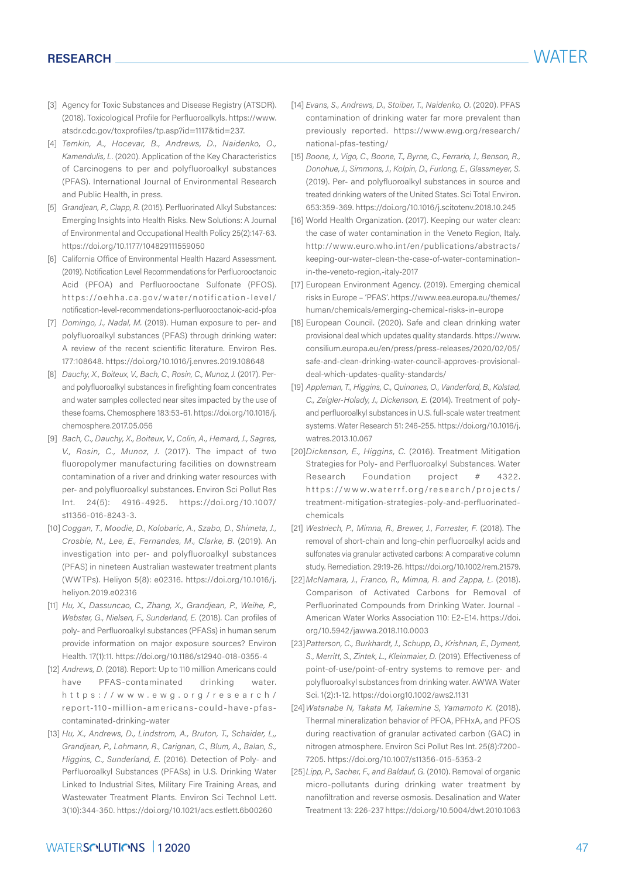- [3] Agency for Toxic Substances and Disease Registry (ATSDR). (2018). Toxicological Profile for Perfluoroalkyls. https://www. atsdr.cdc.gov/toxprofiles/tp.asp?id=1117&tid=237.
- [4] *Temkin, A., Hocevar, B., Andrews, D., Naidenko, O., Kamendulis, L.* (2020). Application of the Key Characteristics of Carcinogens to per and polyfluoroalkyl substances (PFAS). International Journal of Environmental Research and Public Health, in press.
- [5] *Grandjean, P., Clapp, R.* (2015). Perfluorinated Alkyl Substances: Emerging Insights into Health Risks. New Solutions: A Journal of Environmental and Occupational Health Policy 25(2):147-63. https://doi.org/10.1177/104829111559050
- [6] California Office of Environmental Health Hazard Assessment. (2019). Notification Level Recommendations for Perfluorooctanoic Acid (PFOA) and Perfluorooctane Sulfonate (PFOS). https://oehha.ca.gov/water/notification-level/ notification-level-recommendations-perfluorooctanoic-acid-pfoa
- [7] *Domingo, J., Nadal, M.* (2019). Human exposure to per- and polyfluoroalkyl substances (PFAS) through drinking water: A review of the recent scientific literature. Environ Res. 177:108648. https://doi.org/10.1016/j.envres.2019.108648
- [8] *Dauchy, X., Boiteux, V., Bach, C., Rosin, C., Munoz, J.* (2017). Perand polyfluoroalkyl substances in firefighting foam concentrates and water samples collected near sites impacted by the use of these foams. Chemosphere 183:53-61. https://doi.org/10.1016/j. chemosphere.2017.05.056
- [9] *Bach, C., Dauchy, X., Boiteux, V., Colin, A., Hemard, J., Sagres, V., Rosin, C., Munoz, J.* (2017). The impact of two fluoropolymer manufacturing facilities on downstream contamination of a river and drinking water resources with per- and polyfluoroalkyl substances. Environ Sci Pollut Res Int. 24(5): 4916-4925. https://doi.org/10.1007/ s11356-016-8243-3.
- [10] *Coggan, T., Moodie, D., Kolobaric, A., Szabo, D., Shimeta, J., Crosbie, N., Lee, E., Fernandes, M., Clarke, B.* (2019). An investigation into per- and polyfluoroalkyl substances (PFAS) in nineteen Australian wastewater treatment plants (WWTPs). Heliyon 5(8): e02316. https://doi.org/10.1016/j. heliyon.2019.e02316
- [11] *Hu, X., Dassuncao, C., Zhang, X., Grandjean, P., Weihe, P., Webster, G., Nielsen, F., Sunderland, E.* (2018). Can profiles of poly- and Perfluoroalkyl substances (PFASs) in human serum provide information on major exposure sources? Environ Health. 17(1):11. https://doi.org/10.1186/s12940-018-0355-4
- [12] *Andrews, D.* (2018). Report: Up to 110 million Americans could have PFAS-contaminated drinking water. https://www.ewg.org/research/ report-110-million-americans-could-have-pfascontaminated-drinking-water
- [13] *Hu, X., Andrews, D., Lindstrom, A., Bruton, T., Schaider, L,, Grandjean, P., Lohmann, R., Carignan, C., Blum, A., Balan, S., Higgins, C., Sunderland, E.* (2016). Detection of Poly- and Perfluoroalkyl Substances (PFASs) in U.S. Drinking Water Linked to Industrial Sites, Military Fire Training Areas, and Wastewater Treatment Plants. Environ Sci Technol Lett. 3(10):344-350. https://doi.org/10.1021/acs.estlett.6b00260
- [14] *Evans, S., Andrews, D., Stoiber, T., Naidenko, O.* (2020). PFAS contamination of drinking water far more prevalent than previously reported. https://www.ewg.org/research/ national-pfas-testing/
- [15] *Boone, J., Vigo, C., Boone, T., Byrne, C., Ferrario, J., Benson, R., Donohue, J., Simmons, J., Kolpin, D., Furlong, E., Glassmeyer, S.*  (2019). Per- and polyfluoroalkyl substances in source and treated drinking waters of the United States. Sci Total Environ. 653:359-369. https://doi.org/10.1016/j.scitotenv.2018.10.245
- [16] World Health Organization. (2017). Keeping our water clean: the case of water contamination in the Veneto Region, Italy. http://www.euro.who.int/en/publications/abstracts/ keeping-our-water-clean-the-case-of-water-contaminationin-the-veneto-region,-italy-2017
- [17] European Environment Agency. (2019). Emerging chemical risks in Europe – 'PFAS'. https://www.eea.europa.eu/themes/ human/chemicals/emerging-chemical-risks-in-europe
- [18] European Council. (2020). Safe and clean drinking water provisional deal which updates quality standards. https://www. consilium.europa.eu/en/press/press-releases/2020/02/05/ safe-and-clean-drinking-water-council-approves-provisionaldeal-which-updates-quality-standards/
- [19] *Appleman, T., Higgins, C., Quinones, O., Vanderford, B., Kolstad, C., Zeigler-Holady, J., Dickenson, E.* (2014). Treatment of polyand perfluoroalkyl substances in U.S. full-scale water treatment systems. Water Research 51: 246-255. https://doi.org/10.1016/j. watres.2013.10.067
- [20]*Dickenson, E., Higgins, C.* (2016). Treatment Mitigation Strategies for Poly- and Perfluoroalkyl Substances. Water Research Foundation project # 4322. https://www.waterrf.org/research/projects/ treatment-mitigation-strategies-poly-and-perfluorinatedchemicals
- [21] *Westriech, P., Mimna, R., Brewer, J., Forrester, F.* (2018). The removal of short-chain and long-chin perfluoroalkyl acids and sulfonates via granular activated carbons: A comparative column study. Remediation. 29:19-26. https://doi.org/10.1002/rem.21579.
- [22]*McNamara, J., Franco, R., Mimna, R. and Zappa, L.* (2018). Comparison of Activated Carbons for Removal of Perfluorinated Compounds from Drinking Water. Journal ‐ American Water Works Association 110: E2-E14. https://doi. org/10.5942/jawwa.2018.110.0003
- [23]*Patterson, C., Burkhardt, J., Schupp, D., Krishnan, E., Dyment, S., Merritt, S., Zintek, L., Kleinmaier, D.* (2019). Effectiveness of point-of-use/point-of-entry systems to remove per- and polyfluoroalkyl substances from drinking water. AWWA Water Sci. 1(2):1-12. https://doi.org10.1002/aws2.1131
- [24]*Watanabe N, Takata M, Takemine S, Yamamoto K.* (2018). Thermal mineralization behavior of PFOA, PFHxA, and PFOS during reactivation of granular activated carbon (GAC) in nitrogen atmosphere. Environ Sci Pollut Res Int. 25(8):7200- 7205. https://doi.org/10.1007/s11356-015-5353-2
- [25] Lipp, P., Sacher, F., and Baldauf, G. (2010). Removal of organic micro-pollutants during drinking water treatment by nanofiltration and reverse osmosis. Desalination and Water Treatment 13: 226-237 https://doi.org/10.5004/dwt.2010.1063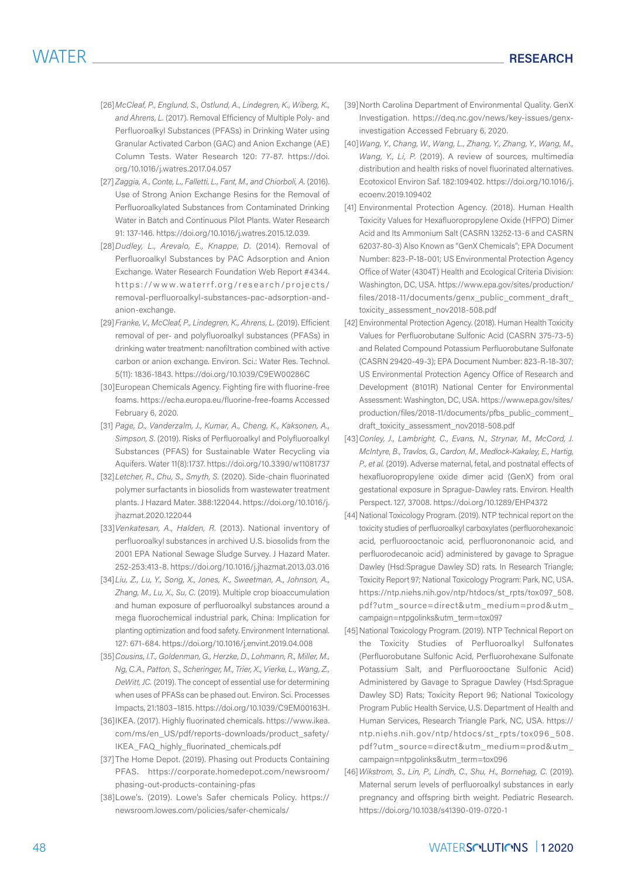- [26]*McCleaf, P., Englund, S., Ostlund, A., Lindegren, K., Wiberg, K., and Ahrens, L.* (2017). Removal Efficiency of Multiple Poly- and Perfluoroalkyl Substances (PFASs) in Drinking Water using Granular Activated Carbon (GAC) and Anion Exchange (AE) Column Tests. Water Research 120: 77-87. https://doi. org/10.1016/j.watres.2017.04.057
- [27] *Zaggia, A., Conte, L., Falletti, L., Fant, M., and Chiorboli, A.* (2016). Use of Strong Anion Exchange Resins for the Removal of Perfluoroalkylated Substances from Contaminated Drinking Water in Batch and Continuous Pilot Plants. Water Research 91: 137-146. https://doi.org/10.1016/j.watres.2015.12.039.
- [28]*Dudley, L., Arevalo, E., Knappe, D.* (2014). Removal of Perfluoroalkyl Substances by PAC Adsorption and Anion Exchange. Water Research Foundation Web Report #4344. https://www.waterrf.org/research/projects/ removal-perfluoroalkyl-substances-pac-adsorption-andanion-exchange.
- [29]*Franke, V., McCleaf, P., Lindegren, K., Ahrens, L.* (2019). Efficient removal of per- and polyfluoroalkyl substances (PFASs) in drinking water treatment: nanofiltration combined with active carbon or anion exchange. Environ. Sci.: Water Res. Technol. 5(11): 1836-1843. https://doi.org/10.1039/C9EW00286C
- [30]European Chemicals Agency. Fighting fire with fluorine-free foams. https://echa.europa.eu/fluorine-free-foams Accessed February 6, 2020.
- [31] *Page, D., Vanderzalm, J., Kumar, A., Cheng, K., Kaksonen, A., Simpson, S.* (2019). Risks of Perfluoroalkyl and Polyfluoroalkyl Substances (PFAS) for Sustainable Water Recycling via Aquifers. Water 11(8):1737. https://doi.org/10.3390/w11081737
- [32]*Letcher, R., Chu, S., Smyth, S.* (2020). Side-chain fluorinated polymer surfactants in biosolids from wastewater treatment plants. J Hazard Mater. 388:122044. https://doi.org/10.1016/j. jhazmat.2020.122044
- [33]*Venkatesan, A., Halden, R.* (2013). National inventory of perfluoroalkyl substances in archived U.S. biosolids from the 2001 EPA National Sewage Sludge Survey. J Hazard Mater. 252-253:413-8. https://doi.org/10.1016/j.jhazmat.2013.03.016
- [34]*Liu, Z., Lu, Y., Song, X., Jones, K., Sweetman, A., Johnson, A., Zhang, M., Lu, X., Su, C.* (2019). Multiple crop bioaccumulation and human exposure of perfluoroalkyl substances around a mega fluorochemical industrial park, China: Implication for planting optimization and food safety. Environment International. 127: 671-684. https://doi.org/10.1016/j.envint.2019.04.008
- [35]*Cousins, I.T., Goldenman, G., Herzke, D., Lohmann, R., Miller, M., Ng, C.A., Patton, S., Scheringer, M., Trier, X., Vierke, L., Wang, Z., DeWitt, JC.* (2019). The concept of essential use for determining when uses of PFASs can be phased out. Environ. Sci. Processes Impacts, 21:1803–1815. https://doi.org/10.1039/C9EM00163H.
- [36]IKEA. (2017). Highly fluorinated chemicals. https://www.ikea. com/ms/en\_US/pdf/reports-downloads/product\_safety/ IKEA\_FAQ\_highly\_fluorinated\_chemicals.pdf
- [37]The Home Depot. (2019). Phasing out Products Containing PFAS. https://corporate.homedepot.com/newsroom/ phasing-out-products-containing-pfas
- [38]Lowe's. (2019). Lowe's Safer chemicals Policy. https:// newsroom.lowes.com/policies/safer-chemicals/
- [39]North Carolina Department of Environmental Quality. GenX Investigation. https://deq.nc.gov/news/key-issues/genxinvestigation Accessed February 6, 2020.
- [40]*Wang, Y., Chang, W., Wang, L., Zhang, Y., Zhang, Y., Wang, M., Wang, Y., Li, P.* (2019). A review of sources, multimedia distribution and health risks of novel fluorinated alternatives. Ecotoxicol Environ Saf. 182:109402. https://doi.org/10.1016/j. ecoenv.2019.109402
- [41] Environmental Protection Agency. (2018). Human Health Toxicity Values for Hexafluoropropylene Oxide (HFPO) Dimer Acid and Its Ammonium Salt (CASRN 13252-13-6 and CASRN 62037-80-3) Also Known as "GenX Chemicals"; EPA Document Number: 823-P-18-001; US Environmental Protection Agency Office of Water (4304T) Health and Ecological Criteria Division: Washington, DC, USA. https://www.epa.gov/sites/production/ files/2018-11/documents/genx\_public\_comment\_draft\_ toxicity\_assessment\_nov2018-508.pdf
- [42] Environmental Protection Agency. (2018). Human Health Toxicity Values for Perfluorobutane Sulfonic Acid (CASRN 375-73-5) and Related Compound Potassium Perfluorobutane Sulfonate (CASRN 29420-49-3); EPA Document Number: 823-R-18-307; US Environmental Protection Agency Office of Research and Development (8101R) National Center for Environmental Assessment: Washington, DC, USA. https://www.epa.gov/sites/ production/files/2018-11/documents/pfbs\_public\_comment\_ draft\_toxicity\_assessment\_nov2018-508.pdf
- [43]*Conley, J., Lambright, C., Evans, N., Strynar, M., McCord, J. McIntyre, B., Travlos, G., Cardon, M., Medlock-Kakaley, E., Hartig, P., et al.* (2019). Adverse maternal, fetal, and postnatal effects of hexafluoropropylene oxide dimer acid (GenX) from oral gestational exposure in Sprague-Dawley rats. Environ. Health Perspect. 127, 37008. https://doi.org/10.1289/EHP4372
- [44] National Toxicology Program. (2019). NTP technical report on the toxicity studies of perfluoroalkyl carboxylates (perfluorohexanoic acid, perfluorooctanoic acid, perfluorononanoic acid, and perfluorodecanoic acid) administered by gavage to Sprague Dawley (Hsd:Sprague Dawley SD) rats. In Research Triangle; Toxicity Report 97; National Toxicology Program: Park, NC, USA. https://ntp.niehs.nih.gov/ntp/htdocs/st\_rpts/tox097\_508. pdf?utm\_source=direct&utm\_medium=prod&utm\_ campaign=ntpgolinks&utm\_term=tox097
- [45] National Toxicology Program. (2019). NTP Technical Report on the Toxicity Studies of Perfluoroalkyl Sulfonates (Perfluorobutane Sulfonic Acid, Perfluorohexane Sulfonate Potassium Salt, and Perfluorooctane Sulfonic Acid) Administered by Gavage to Sprague Dawley (Hsd:Sprague Dawley SD) Rats; Toxicity Report 96; National Toxicology Program Public Health Service, U.S. Department of Health and Human Services, Research Triangle Park, NC, USA. https:// ntp.niehs.nih.gov/ntp/htdocs/st\_rpts/tox096\_508. pdf?utm\_source=direct&utm\_medium=prod&utm\_ campaign=ntpgolinks&utm\_term=tox096
- [46]*Wikstrom, S., Lin, P., Lindh, C., Shu, H., Bornehag, C.* (2019). Maternal serum levels of perfluoroalkyl substances in early pregnancy and offspring birth weight. Pediatric Research. https://doi.org/10.1038/s41390-019-0720-1